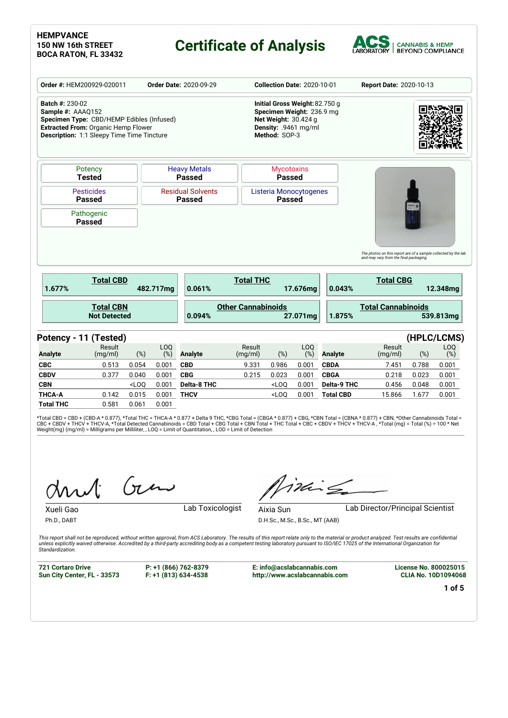# **Certificate of Analysis**



|                                             | Order #: HEM200929-020011                                                                                                             |         |                        | <b>Order Date: 2020-09-29</b>             |                           | <b>Collection Date: 2020-10-01</b>                                                                                           |            |                    | <b>Report Date: 2020-10-13</b>                                                                           |       |             |
|---------------------------------------------|---------------------------------------------------------------------------------------------------------------------------------------|---------|------------------------|-------------------------------------------|---------------------------|------------------------------------------------------------------------------------------------------------------------------|------------|--------------------|----------------------------------------------------------------------------------------------------------|-------|-------------|
| <b>Batch #: 230-02</b><br>Sample #: AAAQ152 | Specimen Type: CBD/HEMP Edibles (Infused)<br><b>Extracted From: Organic Hemp Flower</b><br>Description: 1:1 Sleepy Time Time Tincture |         |                        |                                           |                           | Initial Gross Weight: 82.750 g<br>Specimen Weight: 236.9 mg<br>Net Weight: 30.424 g<br>Density: .9461 mg/ml<br>Method: SOP-3 |            |                    |                                                                                                          |       |             |
|                                             | Potency<br><b>Tested</b>                                                                                                              |         |                        | <b>Heavy Metals</b><br><b>Passed</b>      |                           | <b>Mycotoxins</b><br><b>Passed</b>                                                                                           |            |                    |                                                                                                          |       |             |
|                                             | <b>Pesticides</b><br><b>Passed</b>                                                                                                    |         |                        | <b>Residual Solvents</b><br><b>Passed</b> |                           | Listeria Monocytogenes<br><b>Passed</b>                                                                                      |            |                    |                                                                                                          |       |             |
|                                             | Pathogenic<br><b>Passed</b>                                                                                                           |         |                        |                                           |                           |                                                                                                                              |            |                    |                                                                                                          |       |             |
|                                             |                                                                                                                                       |         |                        |                                           |                           |                                                                                                                              |            |                    | The photos on this report are of a sample collected by the lab<br>and may vary from the final packaging. |       |             |
| 1.677%                                      | <b>Total CBD</b>                                                                                                                      |         | 482.717mg              | 0.061%                                    | <b>Total THC</b>          |                                                                                                                              | 17.676ma   | 0.043%             | <b>Total CBG</b>                                                                                         |       | 12.348mg    |
|                                             | <b>Total CBN</b><br><b>Not Detected</b>                                                                                               |         |                        | 0.094%                                    | <b>Other Cannabinoids</b> |                                                                                                                              | 27.071mg   | 1.875%             | <b>Total Cannabinoids</b>                                                                                |       | 539.813mg   |
| Potency - 11 (Tested)                       |                                                                                                                                       |         |                        |                                           |                           |                                                                                                                              |            |                    |                                                                                                          |       | (HPLC/LCMS) |
| <b>Analyte</b>                              | Result<br>(mg/ml)                                                                                                                     | (%)     | LO <sub>O</sub><br>(%) | <b>Analyte</b>                            | Result<br>(mg/ml)         | (%)                                                                                                                          | LOQ<br>(%) | <b>Analyte</b>     | Result<br>(mg/ml)                                                                                        | (%)   | LOQ<br>(%)  |
| <b>CBC</b>                                  | 0.513                                                                                                                                 | 0.054   | 0.001                  | <b>CBD</b>                                | 9.331                     | 0.986                                                                                                                        | 0.001      | <b>CBDA</b>        | 7.451                                                                                                    | 0.788 | 0.001       |
| <b>CBDV</b>                                 | 0.377                                                                                                                                 | 0.040   | 0.001                  | <b>CBG</b>                                | 0.215                     | 0.023                                                                                                                        | 0.001      | <b>CBGA</b>        | 0.218                                                                                                    | 0.023 | 0.001       |
| <b>CBN</b>                                  |                                                                                                                                       | $<$ LOQ | 0.001                  | <b>Delta-8 THC</b>                        |                           | $<$ LOQ                                                                                                                      | 0.001      | <b>Delta-9 THC</b> | 0.456                                                                                                    | 0.048 | 0.001       |
| <b>THCA-A</b>                               | 0.142                                                                                                                                 | 0.015   | 0.001                  | <b>THCV</b>                               |                           | $<$ LOO                                                                                                                      | 0.001      | <b>Total CBD</b>   | 15.866                                                                                                   | 1.677 | 0.001       |
| <b>Total THC</b>                            | 0.581                                                                                                                                 | 0.061   | 0.001                  |                                           |                           |                                                                                                                              |            |                    |                                                                                                          |       |             |

\*Total CBD = CBD + (CBD-A \* 0.877), \*Total THC = THCA-A \* 0.877 + Delta 9 THC, \*CBG Total = (CBGA \* 0.877) + CBG, \*CBN Total = (CBNA \* 0.877) + CBN, \*Other Cannabinoids Total =<br>CBC + CBDV + THCV + THCV-A, \*Total Detected C

Gen

iding

Xueli Gao **Lab Toxicologist** 

Ph.D., DABT

Aixia Sun Lab Director/Principal Scientist D.H.Sc., M.Sc., B.Sc., MT (AAB)

This report shall not be reproduced, without written approval, from ACS Laboratory. The results of this report relate only to the material or product analyzed. Test results are confidential<br>unless explicitly waived otherwi *Standardization.*

**721 Cortaro Drive Sun City Center, FL - 33573** **P: +1 (866) 762-8379 F: +1 (813) 634-4538**

**E: info@acslabcannabis.com http://www.acslabcannabis.com** **License No. 800025015 CLIA No. 10D1094068**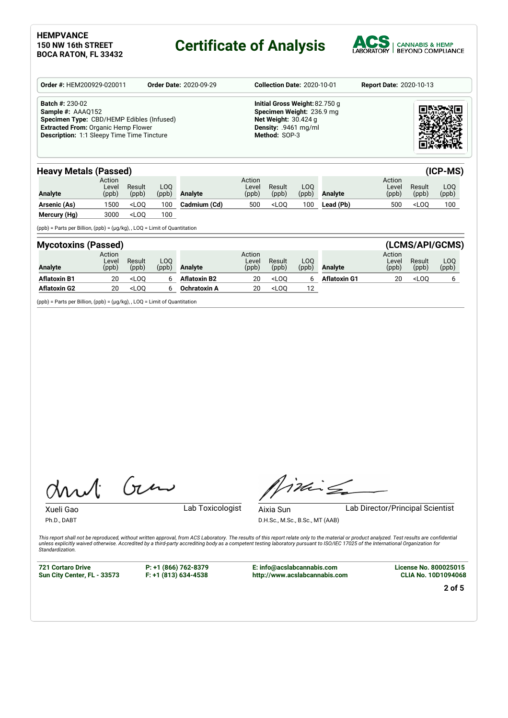## **Certificate of Analysis**



| Order #: HEM200929-020011                                                                                                                                                                   | <b>Order Date: 2020-09-29</b> | <b>Collection Date: 2020-10-01</b>                                                                                             | <b>Report Date: 2020-10-13</b> |
|---------------------------------------------------------------------------------------------------------------------------------------------------------------------------------------------|-------------------------------|--------------------------------------------------------------------------------------------------------------------------------|--------------------------------|
| <b>Batch #: 230-02</b><br>Sample #: AAAQ152<br>Specimen Type: CBD/HEMP Edibles (Infused)<br><b>Extracted From: Organic Hemp Flower</b><br><b>Description: 1:1 Sleepy Time Time Tincture</b> |                               | Initial Gross Weight: 82.750 g<br>Specimen Weight: 236.9 mg<br>Net Weight: $30.424$ g<br>Density: .9461 mg/ml<br>Method: SOP-3 |                                |

| <b>Heavy Metals (Passed)</b> |                          |                 |              |                |                          |                 |               |                |                          |                                 | $(ICP-MS)$   |
|------------------------------|--------------------------|-----------------|--------------|----------------|--------------------------|-----------------|---------------|----------------|--------------------------|---------------------------------|--------------|
| <b>Analyte</b>               | Action<br>Level<br>(ppb) | Result<br>(ppb) | LOO<br>(ppb) | <b>Analyte</b> | Action<br>Level<br>(ppb) | Result<br>(ppb) | LOO.<br>(ppb) | <b>Analyte</b> | Action<br>Level<br>(ppb) | Result<br>(ppb)                 | LOO<br>(ppb) |
| Arsenic (As)                 | 1500                     | $<$ LOO         | 100          | Cadmium (Cd)   | 500                      | $<$ LOO         | 100           | Lead (Pb)      | 500                      | <loo< th=""><th>100</th></loo<> | 100          |
| Mercury (Hg)                 | 3000                     | $<$ LOO         | 100          |                |                          |                 |               |                |                          |                                 |              |

(ppb) = Parts per Billion, (ppb) = (µg/kg), , LOQ = Limit of Quantitation

| <b>Mycotoxins (Passed)</b> |                          |                 |              |                     |                          |                 |              |                     |                          |                              | (LCMS/API/GCMS) |
|----------------------------|--------------------------|-----------------|--------------|---------------------|--------------------------|-----------------|--------------|---------------------|--------------------------|------------------------------|-----------------|
| <b>Analyte</b>             | Action<br>Level<br>(ppb) | Result<br>(ppb) | LOO<br>(ppb) | <b>Analyte</b>      | Action<br>Level<br>(ppb) | Result<br>(ppb) | LOO.<br>(ppb | <b>Analyte</b>      | Action<br>Level<br>(ppb) | Result<br>(ppb)              | LOQ<br>(ppb)    |
| <b>Aflatoxin B1</b>        | 20                       | $<$ LOO         |              | <b>Aflatoxin B2</b> | 20                       | $<$ LOO         |              | <b>Aflatoxin G1</b> | 20                       | <loo< th=""><th></th></loo<> |                 |
| <b>Aflatoxin G2</b>        | 20                       | $<$ LOO         |              | <b>Ochratoxin A</b> | 20                       | $<$ LOO         | 12           |                     |                          |                              |                 |

(ppb) = Parts per Billion, (ppb) = (µg/kg), , LOQ = Limit of Quantitation

Gen

Xueli Gao **Lab Toxicologist** Ph.D., DABT

This

Aixia Sun Lab Director/Principal Scientist

D.H.Sc., M.Sc., B.Sc., MT (AAB)

This report shall not be reproduced, without written approval, from ACS Laboratory. The results of this report relate only to the material or product analyzed. Test results are confidential<br>unless explicitly waived otherwi *Standardization.*

**721 Cortaro Drive Sun City Center, FL - 33573** **P: +1 (866) 762-8379 F: +1 (813) 634-4538**

**E: info@acslabcannabis.com http://www.acslabcannabis.com** **License No. 800025015 CLIA No. 10D1094068**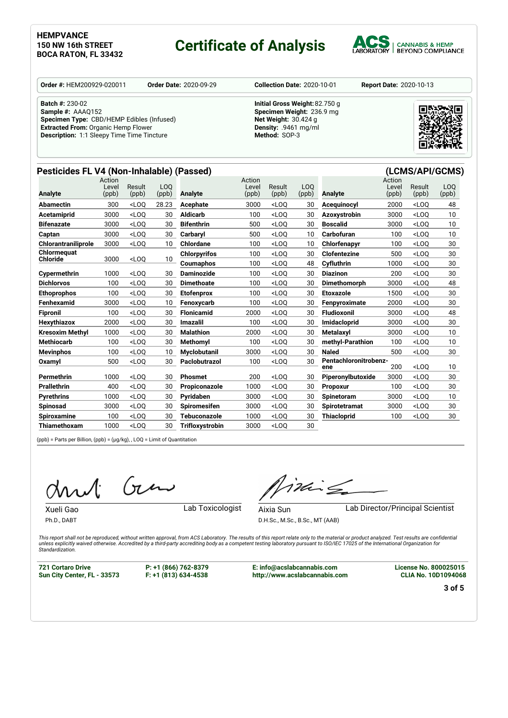## **Certificate of Analysis**



**Order #:** HEM200929-020011 **Order Date:** 2020-09-29 **Collection Date:** 2020-10-01 **Report Date:** 2020-10-13

**Batch #:** 230-02 **Sample #:** AAAQ152 **Specimen Type:** CBD/HEMP Edibles (Infused) **Extracted From:** Organic Hemp Flower **Description:** 1:1 Sleepy Time Time Tincture

**Initial Gross Weight:**82.750 g **Specimen Weight:** 236.9 mg **Net Weight:** 30.424 g **Density:** .9461 mg/ml **Method:** SOP-3



### **Pesticides FL V4 (Non-Inhalable) (Passed) (LCMS/API/GCMS)**

|                            | Action<br>Level | Result  | L <sub>O</sub> O |                        | Action<br>Level | Result                                                                                                | LO <sub>O</sub> |                              | Action<br>Level | Result  | LO <sub>O</sub> |
|----------------------------|-----------------|---------|------------------|------------------------|-----------------|-------------------------------------------------------------------------------------------------------|-----------------|------------------------------|-----------------|---------|-----------------|
| Analyte                    | (ppb)           | (ppb)   | (ppb)            | <b>Analyte</b>         | (ppb)           | (ppb)                                                                                                 | (ppb)           | <b>Analyte</b>               | (ppb)           | (ppb)   | (ppb)           |
| Abamectin                  | 300             | $<$ LOO | 28.23            | <b>Acephate</b>        | 3000            | $<$ LOO                                                                                               | 30              | Acequinocyl                  | 2000            | $<$ LOO | 48              |
| Acetamiprid                | 3000            | $<$ LOO | 30               | <b>Aldicarb</b>        | 100             | $<$ LOO                                                                                               | 30              | Azoxystrobin                 | 3000            | $<$ LOO | 10              |
| <b>Bifenazate</b>          | 3000            | $<$ LOO | 30               | <b>Bifenthrin</b>      | 500             | $<$ LOQ                                                                                               | 30              | <b>Boscalid</b>              | 3000            | $<$ LOO | 10              |
| Captan                     | 3000            | $<$ LOO | 30               | Carbarvl               | 500             | $<$ LOO                                                                                               | 10              | Carbofuran                   | 100             | $<$ LOO | 10              |
| <b>Chlorantraniliprole</b> | 3000            | $<$ LOQ | 10               | Chlordane              | 100             | $<$ LOO                                                                                               | 10              | Chlorfenapyr                 | 100             | $<$ LOO | 30              |
| Chlormequat                |                 |         |                  | <b>Chlorpyrifos</b>    | 100             | $<$ LOO                                                                                               | 30              | <b>Clofentezine</b>          | 500             | $<$ LOO | 30              |
| <b>Chloride</b>            | 3000            | $<$ LOQ | 10               | Coumaphos              | 100             | $<$ LOQ                                                                                               | 48              | Cyfluthrin                   | 1000            | $<$ LOO | 30              |
| Cypermethrin               | 1000            | $<$ LOO | 30               | <b>Daminozide</b>      | 100             | $<$ LOO                                                                                               | 30              | <b>Diazinon</b>              | 200             | $<$ LOO | 30              |
| <b>Dichlorvos</b>          | 100             | $<$ LOO | 30               | <b>Dimethoate</b>      | 100             | $<$ LOO                                                                                               | 30              | Dimethomorph                 | 3000            | $<$ LOO | 48              |
| <b>Ethoprophos</b>         | 100             | $<$ LOO | 30               | <b>Etofenprox</b>      | 100             | <loq< th=""><th>30</th><th>Etoxazole</th><th>1500</th><th><math>&lt;</math>LOO</th><th>30</th></loq<> | 30              | Etoxazole                    | 1500            | $<$ LOO | 30              |
| Fenhexamid                 | 3000            | $<$ LOO | 10               | Fenoxycarb             | 100             | $<$ LOO                                                                                               | 30              | Fenpyroximate                | 2000            | $<$ LOO | 30              |
| <b>Fipronil</b>            | 100             | $<$ LOO | 30               | <b>Flonicamid</b>      | 2000            | $<$ LOQ                                                                                               | 30              | <b>Fludioxonil</b>           | 3000            | $<$ LOO | 48              |
| Hexythiazox                | 2000            | $<$ LOO | 30               | <b>Imazalil</b>        | 100             | $<$ LOO                                                                                               | 30              | Imidacloprid                 | 3000            | $<$ LOO | 30              |
| <b>Kresoxim Methyl</b>     | 1000            | $<$ LOO | 30               | <b>Malathion</b>       | 2000            | $<$ LOO                                                                                               | 30              | <b>Metalaxvl</b>             | 3000            | $<$ LOO | 10              |
| <b>Methiocarb</b>          | 100             | $<$ LOO | 30               | Methomyl               | 100             | $<$ LOO                                                                                               | 30              | methyl-Parathion             | 100             | $<$ LOO | 10              |
| <b>Mevinphos</b>           | 100             | $<$ LOQ | 10               | <b>Myclobutanil</b>    | 3000            | $<$ LOQ                                                                                               | 30              | <b>Naled</b>                 | 500             | $<$ LOQ | 30              |
| Oxamyl                     | 500             | $<$ LOQ | 30               | Paclobutrazol          | 100             | $<$ LOQ                                                                                               | 30              | Pentachloronitrobenz-<br>ene | 200             | $<$ LOO | 10              |
| Permethrin                 | 1000            | $<$ LOO | 30               | <b>Phosmet</b>         | 200             | $<$ LOO                                                                                               | 30              | Piperonylbutoxide            | 3000            | $<$ LOO | 30              |
| <b>Prallethrin</b>         | 400             | $<$ LOO | 30               | Propiconazole          | 1000            | $<$ LOO                                                                                               | 30              | Propoxur                     | 100             | $<$ LOO | 30              |
| <b>Pyrethrins</b>          | 1000            | $<$ LOO | 30               | Pvridaben              | 3000            | $<$ LOO                                                                                               | 30              | <b>Spinetoram</b>            | 3000            | $<$ LOO | 10              |
| Spinosad                   | 3000            | $<$ LOO | 30               | <b>Spiromesifen</b>    | 3000            | $<$ LOO                                                                                               | 30              | <b>Spirotetramat</b>         | 3000            | $<$ LOO | 30              |
| <b>Spiroxamine</b>         | 100             | $<$ LOQ | 30               | Tebuconazole           | 1000            | $<$ LOQ                                                                                               | 30              | <b>Thiacloprid</b>           | 100             | $<$ LOO | 30              |
| Thiamethoxam               | 1000            | $<$ LOO | 30               | <b>Trifloxystrobin</b> | 3000            | $<$ LOO                                                                                               | 30              |                              |                 |         |                 |

(ppb) = Parts per Billion, (ppb) = (µg/kg), , LOQ = Limit of Quantitation

Gen

Xueli Gao **Lab Toxicologist** 

Ph.D., DABT

Aixia Sun Lab Director/Principal Scientist

inis

D.H.Sc., M.Sc., B.Sc., MT (AAB)

This report shall not be reproduced, without written approval, from ACS Laboratory. The results of this report relate only to the material or product analyzed. Test results are confidential<br>unless explicitly waived otherwi *Standardization.*

**721 Cortaro Drive Sun City Center, FL - 33573**

**P: +1 (866) 762-8379 F: +1 (813) 634-4538**

**E: info@acslabcannabis.com http://www.acslabcannabis.com** **License No. 800025015 CLIA No. 10D1094068**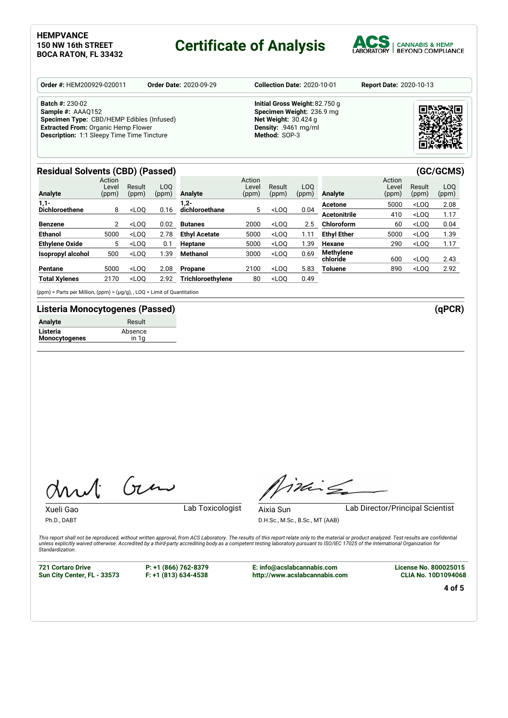## **Certificate of Analysis**



| <b>Order #: HEM200929-020011</b><br><b>Order Date: 2020-09-29</b>                                                                                                                           | <b>Collection Date: 2020-10-01</b>                                                                                                  | <b>Report Date: 2020-10-13</b> |
|---------------------------------------------------------------------------------------------------------------------------------------------------------------------------------------------|-------------------------------------------------------------------------------------------------------------------------------------|--------------------------------|
| <b>Batch #: 230-02</b><br>Sample #: AAAQ152<br>Specimen Type: CBD/HEMP Edibles (Infused)<br><b>Extracted From: Organic Hemp Flower</b><br><b>Description: 1:1 Sleepy Time Time Tincture</b> | Initial Gross Weight: 82.750 g<br>Specimen Weight: 236.9 mg<br><b>Net Weight: 30.424 g</b><br>Density: .9461 mg/ml<br>Method: SOP-3 |                                |

### **Residual Solvents (CBD) (Passed) (GC/GCMS)**

| Analyte               | Action<br>Level<br>(ppm) | Result<br>(ppm) | LOO<br>(ppm) | <b>Analyte</b>       | Action<br>_evel<br>(ppm) | Result<br>(ppm) | L <sub>0</sub><br>(ppm) | <b>Analyte</b>      | Action<br>_evel<br>(ppm) | Result<br>(ppm)                  | LOO<br>(ppm) |
|-----------------------|--------------------------|-----------------|--------------|----------------------|--------------------------|-----------------|-------------------------|---------------------|--------------------------|----------------------------------|--------------|
| $1,1-$                |                          |                 |              | -2, ا                |                          |                 |                         | Acetone             | 5000                     | $<$ LOO                          | 2.08         |
| <b>Dichloroethene</b> | 8                        | $<$ LOO         | 0.16         | dichloroethane       | 5                        | $<$ LOO         | 0.04                    | <b>Acetonitrile</b> | 410                      | $<$ LOO                          | 1.17         |
| <b>Benzene</b>        | 2                        | $<$ LOO         | 0.02         | <b>Butanes</b>       | 2000                     | $<$ LOO         | 2.5                     | Chloroform          | 60                       | $<$ LOQ                          | 0.04         |
| <b>Ethanol</b>        | 5000                     | $<$ LOO         | 2.78         | <b>Ethyl Acetate</b> | 5000                     | $<$ LOO         | 1.11                    | <b>Ethyl Ether</b>  | 5000                     | $<$ LOO                          | 1.39         |
| <b>Ethylene Oxide</b> | 5                        | $<$ LOO         | 0.1          | Heptane              | 5000                     | $<$ LOO         | 1.39                    | <b>Hexane</b>       | 290                      | $<$ LOO                          | 1.17         |
| Isopropyl alcohol     | 500                      | $<$ LOO         | 39،،         | <b>Methanol</b>      | 3000                     | $<$ LOO         | 0.69                    | <b>Methylene</b>    |                          |                                  |              |
|                       |                          |                 |              |                      |                          |                 |                         | chloride            | 600                      | $<$ LOO                          | 2.43         |
| Pentane               | 5000                     | $<$ LOO         | 2.08         | <b>Propane</b>       | 2100                     | $<$ LOO         | 5.83                    | <b>Toluene</b>      | 890                      | <loq< th=""><th>2.92</th></loq<> | 2.92         |
| <b>Total Xylenes</b>  | 2170                     | $<$ LOO         | 2.92         | Trichloroethylene    | 80                       | $<$ LOQ         | 0.49                    |                     |                          |                                  |              |

(ppm) = Parts per Million, (ppm) = (µg/g), , LOQ = Limit of Quantitation

### **Listeria Monocytogenes (Passed) (qPCR)**

| <b>Analyte</b>       | Result  |
|----------------------|---------|
| Listeria             | Absence |
| <b>Monocytogenes</b> | in 1a   |

Gen

Xueli Gao **Lab Toxicologist** Ph.D., DABT

Timing

Aixia Sun Lab Director/Principal Scientist

D.H.Sc., M.Sc., B.Sc., MT (AAB)

This report shall not be reproduced, without written approval, from ACS Laboratory. The results of this report relate only to the material or product analyzed. Test results are confidential<br>unless explicitly waived otherwi *Standardization.*

**721 Cortaro Drive Sun City Center, FL - 33573** **P: +1 (866) 762-8379 F: +1 (813) 634-4538**

**E: info@acslabcannabis.com http://www.acslabcannabis.com** **License No. 800025015 CLIA No. 10D1094068**